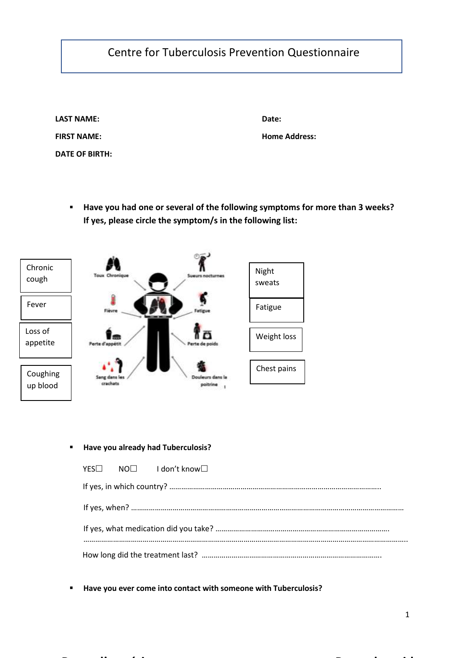## Centre for Tuberculosis Prevention Questionnaire

| <b>LAST NAME:</b>  |  |
|--------------------|--|
| <b>FIRST NAME:</b> |  |
| DATE OF BIRTH:     |  |

 **Date:**

 **Home Address:**

 **Have you had one or several of the following symptoms for more than 3 weeks? If yes, please circle the symptom/s in the following list:**



## **Have you already had Tuberculosis?**

|  | $YES\Box$ $NO\Box$ $Idon't$ know $\Box$ |  |  |
|--|-----------------------------------------|--|--|
|  |                                         |  |  |
|  |                                         |  |  |
|  |                                         |  |  |
|  |                                         |  |  |

**Perte d'appétit Perte de poids**

**Have you ever come into contact with someone with Tuberculosis?**